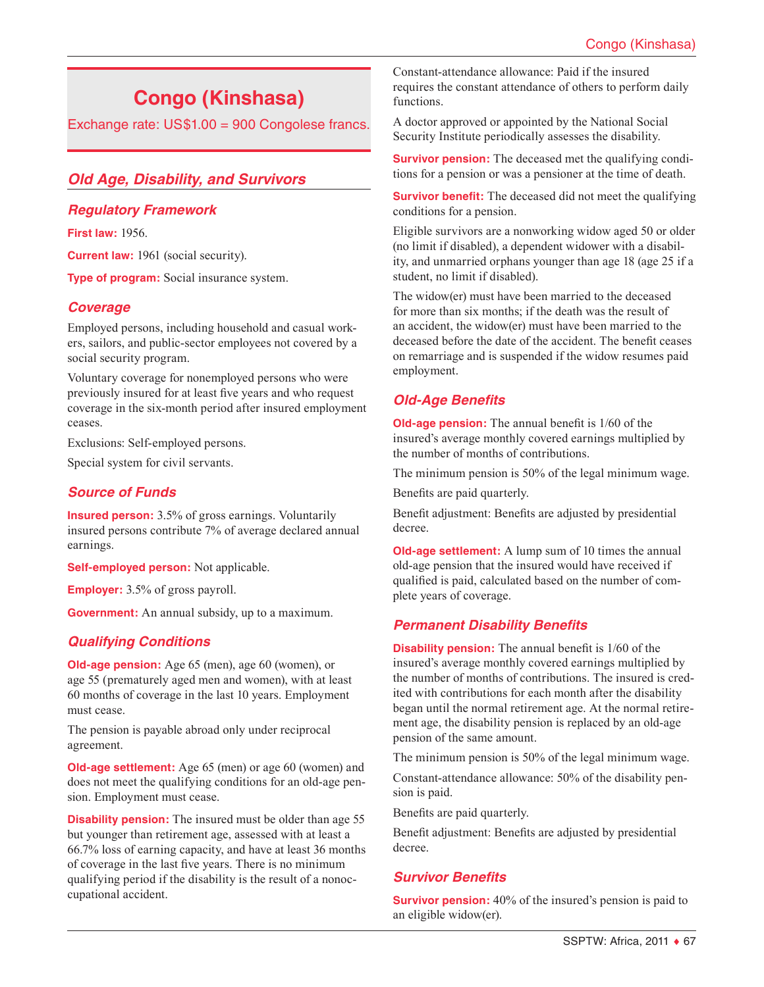# **Congo (Kinshasa)**

Exchange rate: US\$1.00 = 900 Congolese francs.

# *Old Age, Disability, and Survivors*

#### *Regulatory Framework*

**First law:** 1956.

**Current law:** 1961 (social security).

**Type of program:** Social insurance system.

#### *Coverage*

Employed persons, including household and casual workers, sailors, and public-sector employees not covered by a social security program.

Voluntary coverage for nonemployed persons who were previously insured for at least five years and who request coverage in the six-month period after insured employment ceases.

Exclusions: Self-employed persons.

Special system for civil servants.

#### *Source of Funds*

**Insured person:** 3.5% of gross earnings. Voluntarily insured persons contribute 7% of average declared annual earnings.

**Self-employed person:** Not applicable.

**Employer:** 3.5% of gross payroll.

**Government:** An annual subsidy, up to a maximum.

## *Qualifying Conditions*

**Old-age pension:** Age 65 (men), age 60 (women), or age 55 (prematurely aged men and women), with at least 60 months of coverage in the last 10 years. Employment must cease.

The pension is payable abroad only under reciprocal agreement.

**Old-age settlement:** Age 65 (men) or age 60 (women) and does not meet the qualifying conditions for an old-age pension. Employment must cease.

**Disability pension:** The insured must be older than age 55 but younger than retirement age, assessed with at least a 66.7% loss of earning capacity, and have at least 36 months of coverage in the last five years. There is no minimum qualifying period if the disability is the result of a nonoccupational accident.

Constant-attendance allowance: Paid if the insured requires the constant attendance of others to perform daily functions.

A doctor approved or appointed by the National Social Security Institute periodically assesses the disability.

**Survivor pension:** The deceased met the qualifying conditions for a pension or was a pensioner at the time of death.

**Survivor benefit:** The deceased did not meet the qualifying conditions for a pension.

Eligible survivors are a nonworking widow aged 50 or older (no limit if disabled), a dependent widower with a disability, and unmarried orphans younger than age 18 (age 25 if a student, no limit if disabled).

The widow(er) must have been married to the deceased for more than six months; if the death was the result of an accident, the widow(er) must have been married to the deceased before the date of the accident. The benefit ceases on remarriage and is suspended if the widow resumes paid employment.

# *Old-Age Benefits*

**Old-age pension:** The annual benefit is 1/60 of the insured's average monthly covered earnings multiplied by the number of months of contributions.

The minimum pension is 50% of the legal minimum wage.

Benefits are paid quarterly.

Benefit adjustment: Benefits are adjusted by presidential decree.

**Old-age settlement:** A lump sum of 10 times the annual old-age pension that the insured would have received if qualified is paid, calculated based on the number of complete years of coverage.

## *Permanent Disability Benefits*

**Disability pension:** The annual benefit is  $1/60$  of the insured's average monthly covered earnings multiplied by the number of months of contributions. The insured is credited with contributions for each month after the disability began until the normal retirement age. At the normal retirement age, the disability pension is replaced by an old-age pension of the same amount.

The minimum pension is 50% of the legal minimum wage.

Constant-attendance allowance: 50% of the disability pension is paid.

Benefits are paid quarterly.

Benefit adjustment: Benefits are adjusted by presidential decree.

## *Survivor Benefits*

**Survivor pension:** 40% of the insured's pension is paid to an eligible widow(er).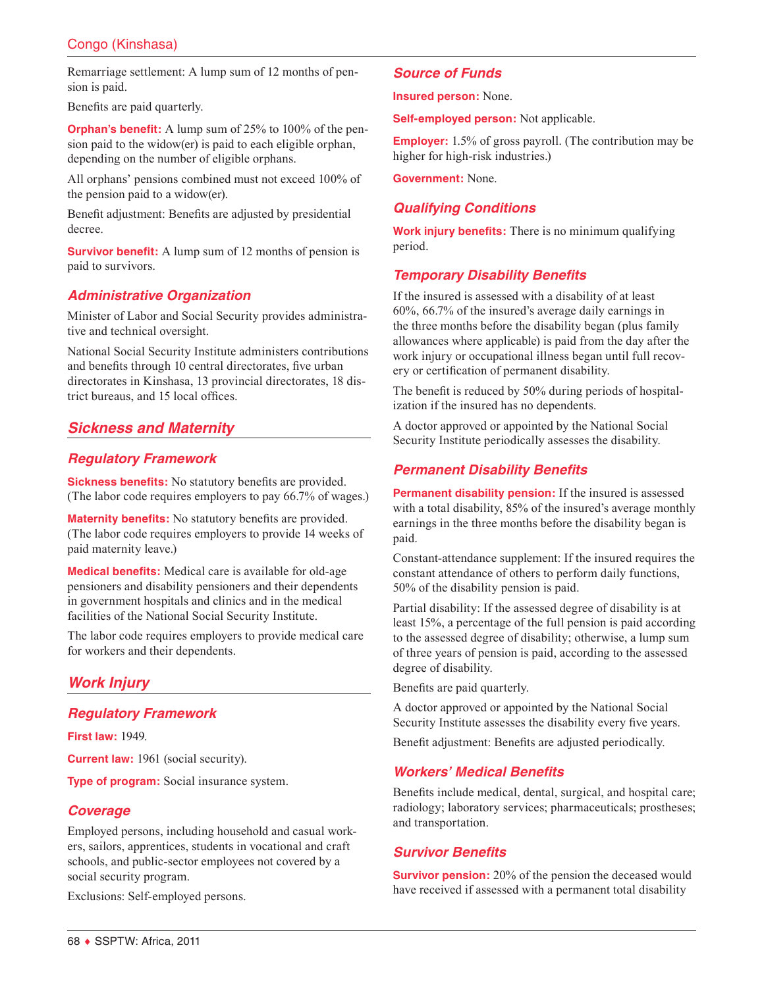Remarriage settlement: A lump sum of 12 months of pension is paid.

Benefits are paid quarterly.

**Orphan's benefit:** A lump sum of 25% to 100% of the pension paid to the widow(er) is paid to each eligible orphan, depending on the number of eligible orphans.

All orphans' pensions combined must not exceed 100% of the pension paid to a widow(er).

Benefit adjustment: Benefits are adjusted by presidential decree.

**Survivor benefit:** A lump sum of 12 months of pension is paid to survivors.

## *Administrative Organization*

Minister of Labor and Social Security provides administrative and technical oversight.

National Social Security Institute administers contributions and benefits through 10 central directorates, five urban directorates in Kinshasa, 13 provincial directorates, 18 district bureaus, and 15 local offices.

# *Sickness and Maternity*

#### *Regulatory Framework*

**Sickness benefits:** No statutory benefits are provided. (The labor code requires employers to pay 66.7% of wages.)

**Maternity benefits:** No statutory benefits are provided. (The labor code requires employers to provide 14 weeks of paid maternity leave.)

**Medical benefits:** Medical care is available for old-age pensioners and disability pensioners and their dependents in government hospitals and clinics and in the medical facilities of the National Social Security Institute.

The labor code requires employers to provide medical care for workers and their dependents.

# *Work Injury*

## *Regulatory Framework*

**First law:** 1949.

**Current law:** 1961 (social security).

**Type of program:** Social insurance system.

## *Coverage*

Employed persons, including household and casual workers, sailors, apprentices, students in vocational and craft schools, and public-sector employees not covered by a social security program.

Exclusions: Self-employed persons.

#### *Source of Funds*

**Insured person:** None.

**Self-employed person:** Not applicable.

**Employer:** 1.5% of gross payroll. (The contribution may be higher for high-risk industries.)

**Government:** None.

# *Qualifying Conditions*

**Work injury benefits:** There is no minimum qualifying period.

## *Temporary Disability Benefits*

If the insured is assessed with a disability of at least 60%, 66.7% of the insured's average daily earnings in the three months before the disability began (plus family allowances where applicable) is paid from the day after the work injury or occupational illness began until full recovery or certification of permanent disability.

The benefit is reduced by 50% during periods of hospitalization if the insured has no dependents.

A doctor approved or appointed by the National Social Security Institute periodically assesses the disability.

## *Permanent Disability Benefits*

**Permanent disability pension:** If the insured is assessed with a total disability, 85% of the insured's average monthly earnings in the three months before the disability began is paid.

Constant-attendance supplement: If the insured requires the constant attendance of others to perform daily functions, 50% of the disability pension is paid.

Partial disability: If the assessed degree of disability is at least 15%, a percentage of the full pension is paid according to the assessed degree of disability; otherwise, a lump sum of three years of pension is paid, according to the assessed degree of disability.

Benefits are paid quarterly.

A doctor approved or appointed by the National Social Security Institute assesses the disability every five years.

Benefit adjustment: Benefits are adjusted periodically.

#### *Workers' Medical Benefits*

Benefits include medical, dental, surgical, and hospital care; radiology; laboratory services; pharmaceuticals; prostheses; and transportation.

## *Survivor Benefits*

**Survivor pension:** 20% of the pension the deceased would have received if assessed with a permanent total disability